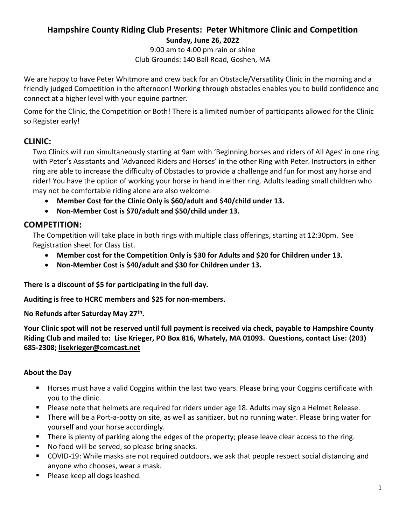## Hampshire County Riding Club Presents: Peter Whitmore Clinic and Competition Sunday, June 26, 2022

9:00 am to 4:00 pm rain or shine Club Grounds: 140 Ball Road, Goshen, MA

We are happy to have Peter Whitmore and crew back for an Obstacle/Versatility Clinic in the morning and a friendly judged Competition in the afternoon! Working through obstacles enables you to build confidence and connect at a higher level with your equine partner.

Come for the Clinic, the Competition or Both! There is a limited number of participants allowed for the Clinic so Register early!

# CLINIC:

Two Clinics will run simultaneously starting at 9am with 'Beginning horses and riders of All Ages' in one ring with Peter's Assistants and 'Advanced Riders and Horses' in the other Ring with Peter. Instructors in either ring are able to increase the difficulty of Obstacles to provide a challenge and fun for most any horse and rider! You have the option of working your horse in hand in either ring. Adults leading small children who may not be comfortable riding alone are also welcome.

- Member Cost for the Clinic Only is \$60/adult and \$40/child under 13.
- Non-Member Cost is \$70/adult and \$50/child under 13.

# COMPETITION:

The Competition will take place in both rings with multiple class offerings, starting at 12:30pm. See Registration sheet for Class List.

- Member cost for the Competition Only is \$30 for Adults and \$20 for Children under 13.
- Non-Member Cost is \$40/adult and \$30 for Children under 13.

There is a discount of \$5 for participating in the full day.

Auditing is free to HCRC members and \$25 for non-members.

No Refunds after Saturday May 27<sup>th</sup>.

Your Clinic spot will not be reserved until full payment is received via check, payable to Hampshire County Riding Club and mailed to: Lise Krieger, PO Box 816, Whately, MA 01093. Questions, contact Lise: (203) 685-2308; lisekrieger@comcast.net

### About the Day

- Horses must have a valid Coggins within the last two years. Please bring your Coggins certificate with you to the clinic.
- **Please note that helmets are required for riders under age 18. Adults may sign a Helmet Release.**
- There will be a Port-a-potty on site, as well as sanitizer, but no running water. Please bring water for yourself and your horse accordingly.
- **There is plenty of parking along the edges of the property; please leave clear access to the ring.**
- No food will be served, so please bring snacks.
- COVID-19: While masks are not required outdoors, we ask that people respect social distancing and anyone who chooses, wear a mask.
- **Please keep all dogs leashed.**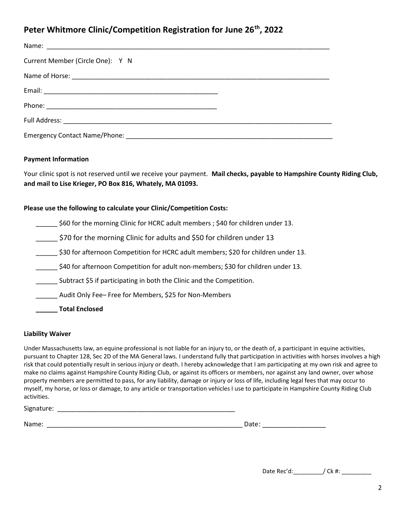# Peter Whitmore Clinic/Competition Registration for June 26<sup>th</sup>, 2022

| Current Member (Circle One): Y N |  |
|----------------------------------|--|
|                                  |  |
|                                  |  |
|                                  |  |
|                                  |  |
|                                  |  |

#### Payment Information

Your clinic spot is not reserved until we receive your payment. Mail checks, payable to Hampshire County Riding Club, and mail to Lise Krieger, PO Box 816, Whately, MA 01093.

#### Please use the following to calculate your Clinic/Competition Costs:

\_\_\_\_\_\_ \$60 for the morning Clinic for HCRC adult members ; \$40 for children under 13.

\_\_\_\_\_\_ \$70 for the morning Clinic for adults and \$50 for children under 13

\$30 for afternoon Competition for HCRC adult members; \$20 for children under 13.

\_\_\_\_\_\_ \$40 for afternoon Competition for adult non-members; \$30 for children under 13.

Subtract \$5 if participating in both the Clinic and the Competition.

\_\_\_\_\_\_ Audit Only Fee– Free for Members, \$25 for Non-Members

\_\_\_\_\_\_ Total Enclosed

#### Liability Waiver

Under Massachusetts law, an equine professional is not liable for an injury to, or the death of, a participant in equine activities, pursuant to Chapter 128, Sec 2D of the MA General laws. I understand fully that participation in activities with horses involves a high risk that could potentially result in serious injury or death. I hereby acknowledge that I am participating at my own risk and agree to make no claims against Hampshire County Riding Club, or against its officers or members, nor against any land owner, over whose property members are permitted to pass, for any liability, damage or injury or loss of life, including legal fees that may occur to myself, my horse, or loss or damage, to any article or transportation vehicles I use to participate in Hampshire County Riding Club activities.

Signature:  $\Box$ 

Name: \_\_\_\_\_\_\_\_\_\_\_\_\_\_\_\_\_\_\_\_\_\_\_\_\_\_\_\_\_\_\_\_\_\_\_\_\_\_\_\_\_\_\_\_\_\_\_\_\_\_\_\_\_\_ Date: \_\_\_\_\_\_\_\_\_\_\_\_\_\_\_\_

Date Rec'd:  $\big/$  Ck #: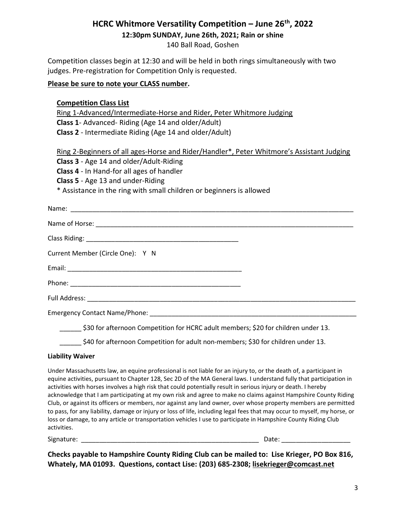# HCRC Whitmore Versatility Competition - June 26<sup>th</sup>, 2022

12:30pm SUNDAY, June 26th, 2021; Rain or shine

140 Ball Road, Goshen

Competition classes begin at 12:30 and will be held in both rings simultaneously with two judges. Pre-registration for Competition Only is requested.

### Please be sure to note your CLASS number.

| <b>Competition Class List</b><br>Ring 1-Advanced/Intermediate-Horse and Rider, Peter Whitmore Judging                                                                                                                                                                                                                                                                                                          |
|----------------------------------------------------------------------------------------------------------------------------------------------------------------------------------------------------------------------------------------------------------------------------------------------------------------------------------------------------------------------------------------------------------------|
| Class 1- Advanced- Riding (Age 14 and older/Adult)                                                                                                                                                                                                                                                                                                                                                             |
| Class 2 - Intermediate Riding (Age 14 and older/Adult)                                                                                                                                                                                                                                                                                                                                                         |
| Ring 2-Beginners of all ages-Horse and Rider/Handler*, Peter Whitmore's Assistant Judging<br>Class 3 - Age 14 and older/Adult-Riding<br>Class 4 - In Hand-for all ages of handler<br>Class 5 - Age 13 and under-Riding<br>* Assistance in the ring with small children or beginners is allowed                                                                                                                 |
|                                                                                                                                                                                                                                                                                                                                                                                                                |
|                                                                                                                                                                                                                                                                                                                                                                                                                |
|                                                                                                                                                                                                                                                                                                                                                                                                                |
| Current Member (Circle One): Y N                                                                                                                                                                                                                                                                                                                                                                               |
|                                                                                                                                                                                                                                                                                                                                                                                                                |
|                                                                                                                                                                                                                                                                                                                                                                                                                |
|                                                                                                                                                                                                                                                                                                                                                                                                                |
|                                                                                                                                                                                                                                                                                                                                                                                                                |
| ______ \$30 for afternoon Competition for HCRC adult members; \$20 for children under 13.<br>$\mathcal{L}$ and $\mathcal{L}$ and $\mathcal{L}$ and $\mathcal{L}$ and $\mathcal{L}$ and $\mathcal{L}$ and $\mathcal{L}$ and $\mathcal{L}$ and $\mathcal{L}$ and $\mathcal{L}$ and $\mathcal{L}$ and $\mathcal{L}$ and $\mathcal{L}$ and $\mathcal{L}$ and $\mathcal{L}$ and $\mathcal{L}$ and $\mathcal{L}$ and |

#### \_\_\_\_\_\_ \$40 for afternoon Competition for adult non-members; \$30 for children under 13.

#### Liability Waiver

Under Massachusetts law, an equine professional is not liable for an injury to, or the death of, a participant in equine activities, pursuant to Chapter 128, Sec 2D of the MA General laws. I understand fully that participation in activities with horses involves a high risk that could potentially result in serious injury or death. I hereby acknowledge that I am participating at my own risk and agree to make no claims against Hampshire County Riding Club, or against its officers or members, nor against any land owner, over whose property members are permitted to pass, for any liability, damage or injury or loss of life, including legal fees that may occur to myself, my horse, or loss or damage, to any article or transportation vehicles I use to participate in Hampshire County Riding Club activities.

Signature: \_\_\_\_\_\_\_\_\_\_\_\_\_\_\_\_\_\_\_\_\_\_\_\_\_\_\_\_\_\_\_\_\_\_\_\_\_\_\_\_\_\_\_\_\_\_\_\_\_ Date: \_\_\_\_\_\_\_\_\_\_\_\_\_\_\_\_\_\_\_

Checks payable to Hampshire County Riding Club can be mailed to: Lise Krieger, PO Box 816, Whately, MA 01093. Questions, contact Lise: (203) 685-2308; lisekrieger@comcast.net